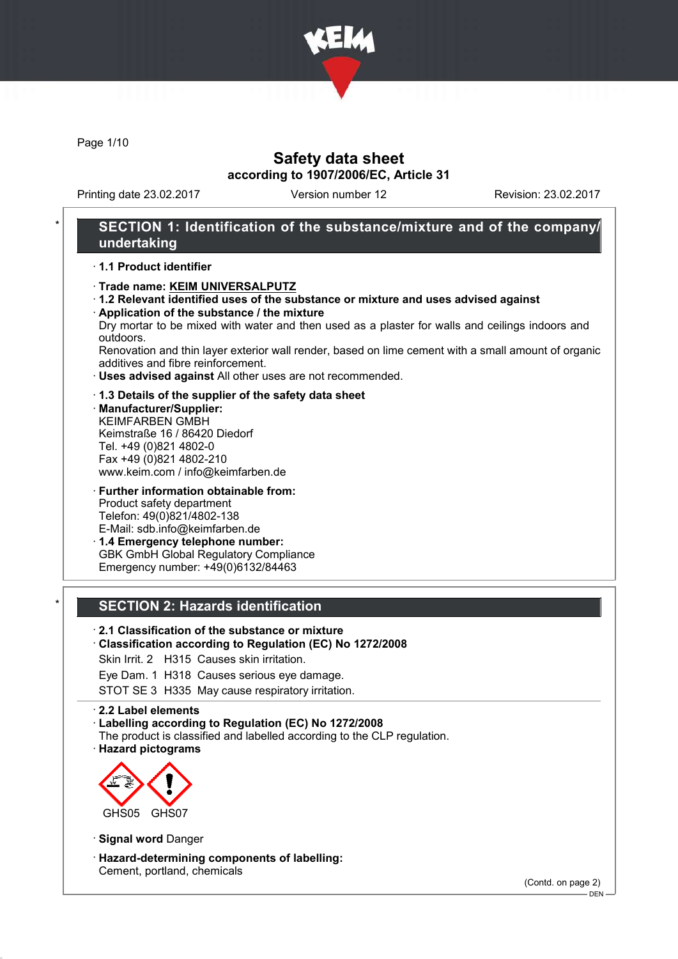

Page 1/10

### Safety data sheet according to 1907/2006/EC, Article 31

Printing date 23.02.2017 Version number 12 Revision: 23.02.2017

### SECTION 1: Identification of the substance/mixture and of the company/ undertaking

#### · 1.1 Product identifier

- · Trade name: KEIM UNIVERSALPUTZ
- · 1.2 Relevant identified uses of the substance or mixture and uses advised against
- · Application of the substance / the mixture Dry mortar to be mixed with water and then used as a plaster for walls and ceilings indoors and outdoors.

Renovation and thin layer exterior wall render, based on lime cement with a small amount of organic additives and fibre reinforcement.

- · Uses advised against All other uses are not recommended.
- · 1.3 Details of the supplier of the safety data sheet
- · Manufacturer/Supplier: KEIMFARBEN GMBH Keimstraße 16 / 86420 Diedorf Tel. +49 (0)821 4802-0 Fax +49 (0)821 4802-210 www.keim.com / info@keimfarben.de
- · Further information obtainable from: Product safety department Telefon: 49(0)821/4802-138 E-Mail: sdb.info@keimfarben.de · 1.4 Emergency telephone number:
- GBK GmbH Global Regulatory Compliance Emergency number: +49(0)6132/84463

### **SECTION 2: Hazards identification**

### · 2.1 Classification of the substance or mixture

#### · Classification according to Regulation (EC) No 1272/2008

Skin Irrit. 2 H315 Causes skin irritation.

Eye Dam. 1 H318 Causes serious eye damage.

STOT SE 3 H335 May cause respiratory irritation.

#### · 2.2 Label elements

- · Labelling according to Regulation (EC) No 1272/2008
- The product is classified and labelled according to the CLP regulation.
- · Hazard pictograms



· Signal word Danger

· Hazard-determining components of labelling: Cement, portland, chemicals

(Contd. on page 2)

DEN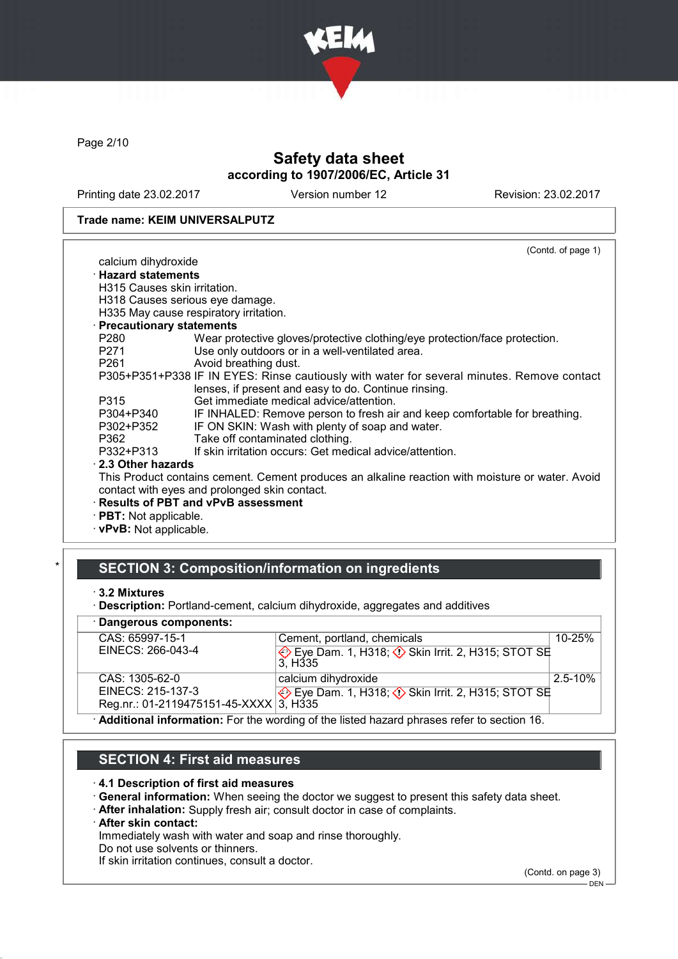

Page 2/10

# Safety data sheet according to 1907/2006/EC, Article 31

Printing date 23.02.2017 Version number 12 Revision: 23.02.2017

#### Trade name: KEIM UNIVERSALPUTZ

|                               | (Contd. of page 1)                                                                               |
|-------------------------------|--------------------------------------------------------------------------------------------------|
| calcium dihydroxide           |                                                                                                  |
| $\cdot$ Hazard statements     |                                                                                                  |
| H315 Causes skin irritation.  |                                                                                                  |
|                               | H318 Causes serious eye damage.                                                                  |
|                               | H335 May cause respiratory irritation.                                                           |
| · Precautionary statements    |                                                                                                  |
| P280                          | Wear protective gloves/protective clothing/eye protection/face protection.                       |
| P271                          | Use only outdoors or in a well-ventilated area.                                                  |
| P261 <b>P26</b>               | Avoid breathing dust.                                                                            |
|                               | P305+P351+P338 IF IN EYES: Rinse cautiously with water for several minutes. Remove contact       |
|                               | lenses, if present and easy to do. Continue rinsing.                                             |
| P315                          | Get immediate medical advice/attention.                                                          |
| P304+P340                     | IF INHALED: Remove person to fresh air and keep comfortable for breathing.                       |
| P302+P352                     | IF ON SKIN: Wash with plenty of soap and water.                                                  |
| P362                          | Take off contaminated clothing.                                                                  |
| P332+P313                     | If skin irritation occurs: Get medical advice/attention.                                         |
| 2.3 Other hazards             |                                                                                                  |
|                               | This Product contains cement. Cement produces an alkaline reaction with moisture or water. Avoid |
|                               | contact with eyes and prolonged skin contact.                                                    |
|                               | · Results of PBT and vPvB assessment                                                             |
| $\cdot$ PBT: Not applicable.  |                                                                                                  |
|                               |                                                                                                  |
| $\cdot$ vPvB: Not applicable. |                                                                                                  |

### SECTION 3: Composition/information on ingredients

<sup>·</sup> Description: Portland-cement, calcium dihydroxide, aggregates and additives

| Dangerous components:                                                                       |                                                                                  |              |  |
|---------------------------------------------------------------------------------------------|----------------------------------------------------------------------------------|--------------|--|
| CAS: 65997-15-1                                                                             | Cement, portland, chemicals                                                      | $10 - 25%$   |  |
| EINECS: 266-043-4                                                                           | Eye Dam. 1, H318; $\Diamond$ Skin Irrit. 2, H315; STOT SE<br>3. H <sub>335</sub> |              |  |
| CAS: 1305-62-0                                                                              | calcium dihydroxide                                                              | $2.5 - 10\%$ |  |
| EINECS: 215-137-3                                                                           | Eye Dam. 1, H318; $\Diamond$ Skin Irrit. 2, H315; STOT SE                        |              |  |
| Reg.nr.: 01-2119475151-45-XXXX 3, H335                                                      |                                                                                  |              |  |
| . Additional information: Ear the wording of the listed because phrases refer to section 16 |                                                                                  |              |  |

· Additional information: For the wording of the listed hazard phrases refer to section 16.

# SECTION 4: First aid measures

#### · 4.1 Description of first aid measures

- · General information: When seeing the doctor we suggest to present this safety data sheet.
- · After inhalation: Supply fresh air; consult doctor in case of complaints.

#### · After skin contact:

Immediately wash with water and soap and rinse thoroughly.

Do not use solvents or thinners.

If skin irritation continues, consult a doctor.

(Contd. on page 3)

<sup>·</sup> 3.2 Mixtures

 $-$  DEN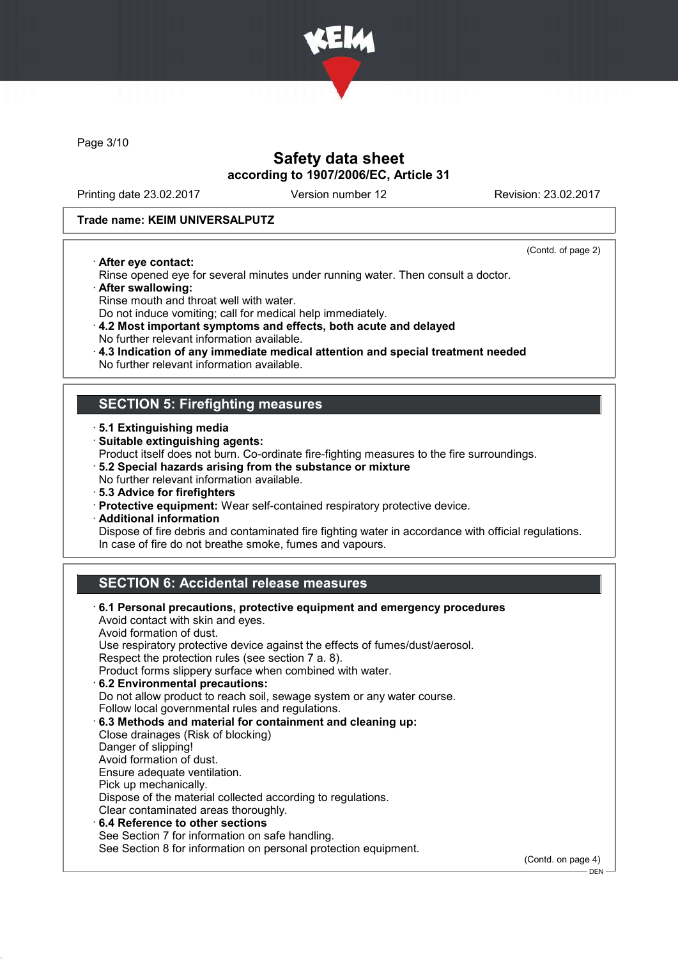

Page 3/10

## Safety data sheet according to 1907/2006/EC, Article 31

Printing date 23.02.2017 Version number 12 Revision: 23.02.2017

#### Trade name: KEIM UNIVERSALPUTZ

· After eye contact:

(Contd. of page 2)

.<br>– DEN -

- Rinse opened eye for several minutes under running water. Then consult a doctor.
- · After swallowing:
- Rinse mouth and throat well with water.
- Do not induce vomiting; call for medical help immediately.
- · 4.2 Most important symptoms and effects, both acute and delayed No further relevant information available.
- · 4.3 Indication of any immediate medical attention and special treatment needed
- No further relevant information available.

### SECTION 5: Firefighting measures

- · 5.1 Extinguishing media
- · Suitable extinguishing agents:
- Product itself does not burn. Co-ordinate fire-fighting measures to the fire surroundings.
- · 5.2 Special hazards arising from the substance or mixture
- No further relevant information available.
- · 5.3 Advice for firefighters
- · Protective equipment: Wear self-contained respiratory protective device.
- · Additional information

Dispose of fire debris and contaminated fire fighting water in accordance with official regulations. In case of fire do not breathe smoke, fumes and vapours.

# SECTION 6: Accidental release measures

| 6.1 Personal precautions, protective equipment and emergency procedures<br>Avoid contact with skin and eyes. |                    |
|--------------------------------------------------------------------------------------------------------------|--------------------|
| Avoid formation of dust.                                                                                     |                    |
| Use respiratory protective device against the effects of fumes/dust/aerosol.                                 |                    |
| Respect the protection rules (see section 7 a. 8).                                                           |                    |
| Product forms slippery surface when combined with water.                                                     |                    |
| 6.2 Environmental precautions:                                                                               |                    |
| Do not allow product to reach soil, sewage system or any water course.                                       |                    |
| Follow local governmental rules and regulations.                                                             |                    |
| 6.3 Methods and material for containment and cleaning up:                                                    |                    |
| Close drainages (Risk of blocking)                                                                           |                    |
| Danger of slipping!                                                                                          |                    |
| Avoid formation of dust.                                                                                     |                    |
| Ensure adequate ventilation.                                                                                 |                    |
| Pick up mechanically.                                                                                        |                    |
| Dispose of the material collected according to regulations.                                                  |                    |
| Clear contaminated areas thoroughly.                                                                         |                    |
| ⋅6.4 Reference to other sections                                                                             |                    |
| See Section 7 for information on safe handling.                                                              |                    |
| See Section 8 for information on personal protection equipment.                                              |                    |
|                                                                                                              | (Contd. on page 4) |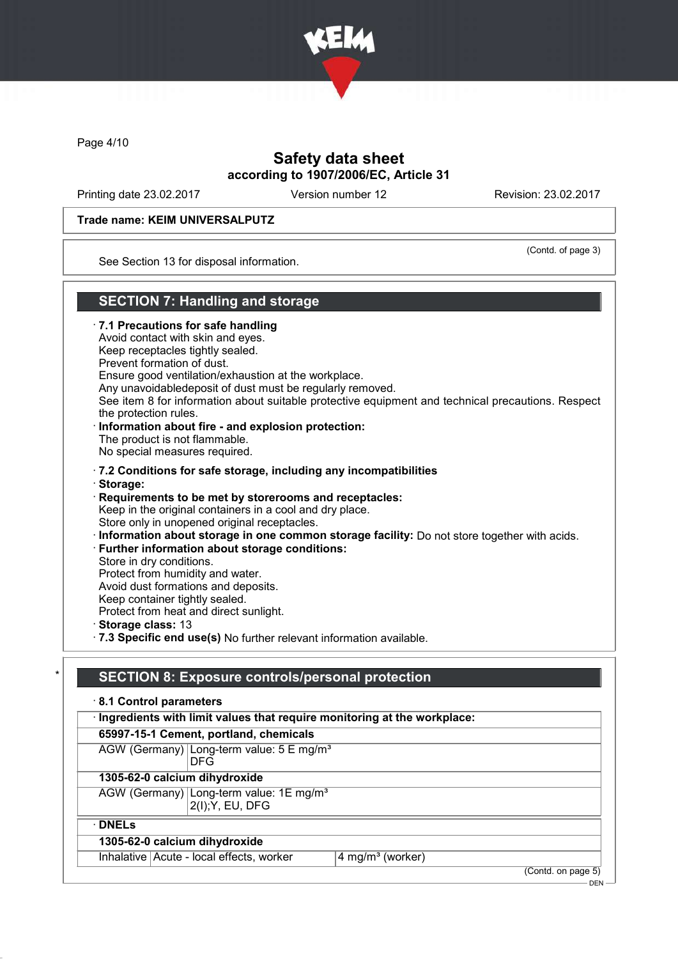

Page 4/10

# Safety data sheet according to 1907/2006/EC, Article 31

Printing date 23.02.2017 Version number 12 Revision: 23.02.2017

#### Trade name: KEIM UNIVERSALPUTZ

(Contd. of page 3)

 $-$  DEN

See Section 13 for disposal information.

### SECTION 7: Handling and storage

· 7.1 Precautions for safe handling Avoid contact with skin and eyes. Keep receptacles tightly sealed. Prevent formation of dust. Ensure good ventilation/exhaustion at the workplace. Any unavoidabledeposit of dust must be regularly removed. See item 8 for information about suitable protective equipment and technical precautions. Respect the protection rules. · Information about fire - and explosion protection: The product is not flammable. No special measures required. · 7.2 Conditions for safe storage, including any incompatibilities · Storage: · Requirements to be met by storerooms and receptacles: Keep in the original containers in a cool and dry place. Store only in unopened original receptacles. · Information about storage in one common storage facility: Do not store together with acids. · Further information about storage conditions: Store in dry conditions. Protect from humidity and water. Avoid dust formations and deposits. Keep container tightly sealed. Protect from heat and direct sunlight. · Storage class: 13 · 7.3 Specific end use(s) No further relevant information available.

# SECTION 8: Exposure controls/personal protection

| · Ingredients with limit values that require monitoring at the workplace: |                              |
|---------------------------------------------------------------------------|------------------------------|
| 65997-15-1 Cement, portland, chemicals                                    |                              |
| AGW (Germany) Long-term value: 5 E mg/m <sup>3</sup><br><b>DFG</b>        |                              |
| 1305-62-0 calcium dihydroxide                                             |                              |
| AGW (Germany) Long-term value: 1E mg/m <sup>3</sup><br>2(I); Y, EU, DFG   |                              |
| $\cdot$ DNELs                                                             |                              |
| 1305-62-0 calcium dihydroxide                                             |                              |
| Inhalative Acute - local effects, worker                                  | 4 mg/m <sup>3</sup> (worker) |
|                                                                           | (Contd. on page 5)           |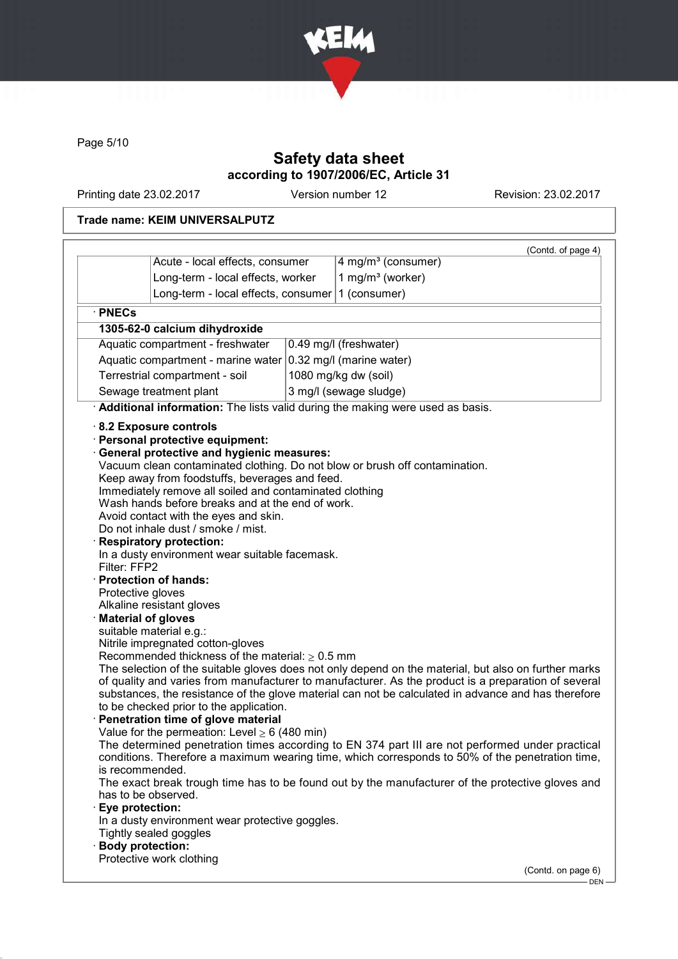

Page 5/10

# Safety data sheet according to 1907/2006/EC, Article 31

Printing date 23.02.2017 Version number 12 Revision: 23.02.2017

### Trade name: KEIM UNIVERSALPUTZ

| · PNECs<br>1305-62-0 calcium dihydroxide<br>Aquatic compartment - freshwater<br>Aquatic compartment - marine water<br>Terrestrial compartment - soil<br>Sewage treatment plant<br>8.2 Exposure controls<br>· Personal protective equipment:<br><b>General protective and hygienic measures:</b><br>Keep away from foodstuffs, beverages and feed.<br>Immediately remove all soiled and contaminated clothing<br>Wash hands before breaks and at the end of work.<br>Avoid contact with the eyes and skin.<br>Do not inhale dust / smoke / mist.<br><b>Respiratory protection:</b><br>In a dusty environment wear suitable facemask.<br>Filter: FFP2<br>· Protection of hands:<br>Protective gloves<br>Alkaline resistant gloves |                                     | (Contd. of page 4)                                                                                                                                                                                                                                                                                                                                                                                                                                                                                                                                                                                                                                                                                          |
|---------------------------------------------------------------------------------------------------------------------------------------------------------------------------------------------------------------------------------------------------------------------------------------------------------------------------------------------------------------------------------------------------------------------------------------------------------------------------------------------------------------------------------------------------------------------------------------------------------------------------------------------------------------------------------------------------------------------------------|-------------------------------------|-------------------------------------------------------------------------------------------------------------------------------------------------------------------------------------------------------------------------------------------------------------------------------------------------------------------------------------------------------------------------------------------------------------------------------------------------------------------------------------------------------------------------------------------------------------------------------------------------------------------------------------------------------------------------------------------------------------|
|                                                                                                                                                                                                                                                                                                                                                                                                                                                                                                                                                                                                                                                                                                                                 | Acute - local effects, consumer     | 4 mg/m <sup>3</sup> (consumer)                                                                                                                                                                                                                                                                                                                                                                                                                                                                                                                                                                                                                                                                              |
|                                                                                                                                                                                                                                                                                                                                                                                                                                                                                                                                                                                                                                                                                                                                 | Long-term - local effects, worker   | 1 mg/m <sup>3</sup> (worker)                                                                                                                                                                                                                                                                                                                                                                                                                                                                                                                                                                                                                                                                                |
|                                                                                                                                                                                                                                                                                                                                                                                                                                                                                                                                                                                                                                                                                                                                 | Long-term - local effects, consumer | 1 (consumer)                                                                                                                                                                                                                                                                                                                                                                                                                                                                                                                                                                                                                                                                                                |
|                                                                                                                                                                                                                                                                                                                                                                                                                                                                                                                                                                                                                                                                                                                                 |                                     |                                                                                                                                                                                                                                                                                                                                                                                                                                                                                                                                                                                                                                                                                                             |
|                                                                                                                                                                                                                                                                                                                                                                                                                                                                                                                                                                                                                                                                                                                                 |                                     |                                                                                                                                                                                                                                                                                                                                                                                                                                                                                                                                                                                                                                                                                                             |
|                                                                                                                                                                                                                                                                                                                                                                                                                                                                                                                                                                                                                                                                                                                                 |                                     | 0.49 mg/l (freshwater)                                                                                                                                                                                                                                                                                                                                                                                                                                                                                                                                                                                                                                                                                      |
|                                                                                                                                                                                                                                                                                                                                                                                                                                                                                                                                                                                                                                                                                                                                 |                                     | 0.32 mg/l (marine water)                                                                                                                                                                                                                                                                                                                                                                                                                                                                                                                                                                                                                                                                                    |
|                                                                                                                                                                                                                                                                                                                                                                                                                                                                                                                                                                                                                                                                                                                                 |                                     | 1080 mg/kg dw (soil)                                                                                                                                                                                                                                                                                                                                                                                                                                                                                                                                                                                                                                                                                        |
|                                                                                                                                                                                                                                                                                                                                                                                                                                                                                                                                                                                                                                                                                                                                 |                                     | 3 mg/l (sewage sludge)                                                                                                                                                                                                                                                                                                                                                                                                                                                                                                                                                                                                                                                                                      |
|                                                                                                                                                                                                                                                                                                                                                                                                                                                                                                                                                                                                                                                                                                                                 |                                     | Additional information: The lists valid during the making were used as basis.                                                                                                                                                                                                                                                                                                                                                                                                                                                                                                                                                                                                                               |
| <b>Material of gloves</b><br>suitable material e.g.:<br>Nitrile impregnated cotton-gloves<br>Recommended thickness of the material: $\geq 0.5$ mm<br>to be checked prior to the application.<br>Penetration time of glove material<br>Value for the permeation: Level $\geq 6$ (480 min)<br>is recommended.<br>has to be observed.<br><b>Eye protection:</b><br>In a dusty environment wear protective goggles.<br>Tightly sealed goggles<br><b>Body protection:</b><br>Protective work clothing                                                                                                                                                                                                                                |                                     | Vacuum clean contaminated clothing. Do not blow or brush off contamination.<br>The selection of the suitable gloves does not only depend on the material, but also on further marks<br>of quality and varies from manufacturer to manufacturer. As the product is a preparation of several<br>substances, the resistance of the glove material can not be calculated in advance and has therefore<br>The determined penetration times according to EN 374 part III are not performed under practical<br>conditions. Therefore a maximum wearing time, which corresponds to 50% of the penetration time,<br>The exact break trough time has to be found out by the manufacturer of the protective gloves and |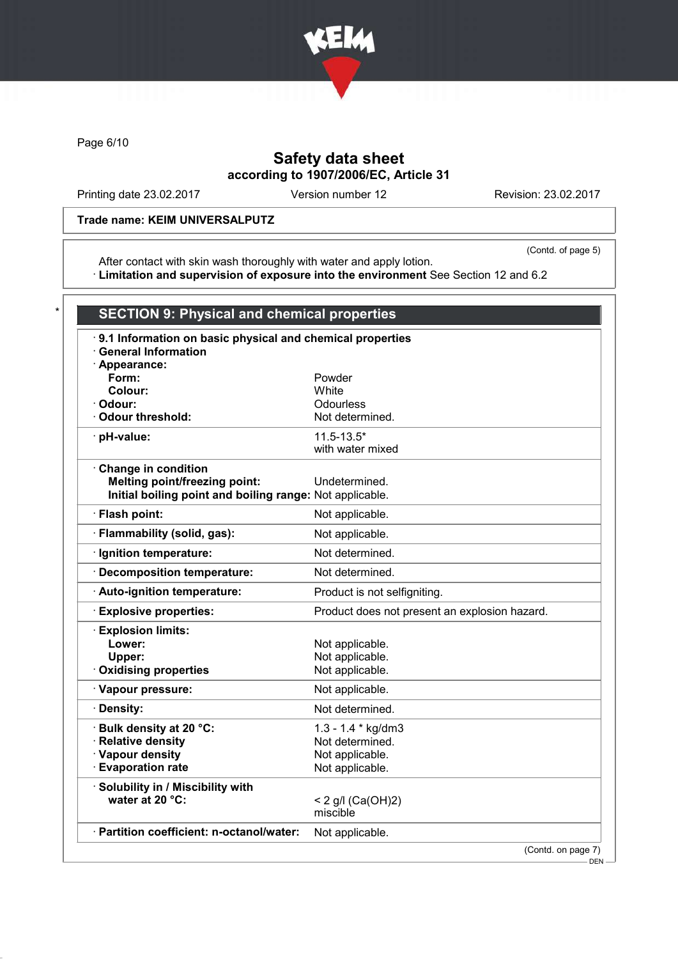

Page 6/10

# Safety data sheet according to 1907/2006/EC, Article 31

Printing date 23.02.2017 Version number 12 Revision: 23.02.2017

### Trade name: KEIM UNIVERSALPUTZ

(Contd. of page 5)

After contact with skin wash thoroughly with water and apply lotion. · Limitation and supervision of exposure into the environment See Section 12 and 6.2

| 9.1 Information on basic physical and chemical properties<br><b>General Information</b> |                                               |
|-----------------------------------------------------------------------------------------|-----------------------------------------------|
| · Appearance:                                                                           |                                               |
| Form:                                                                                   | Powder                                        |
| Colour:                                                                                 | White                                         |
| · Odour:<br>· Odour threshold:                                                          | Odourless                                     |
|                                                                                         | Not determined.                               |
| · pH-value:                                                                             | $11.5 - 13.5*$                                |
|                                                                                         | with water mixed                              |
| Change in condition                                                                     |                                               |
| <b>Melting point/freezing point:</b>                                                    | Undetermined.                                 |
| Initial boiling point and boiling range: Not applicable.                                |                                               |
| · Flash point:                                                                          | Not applicable.                               |
| · Flammability (solid, gas):                                                            | Not applicable.                               |
| Ignition temperature:                                                                   | Not determined.                               |
| Decomposition temperature:                                                              | Not determined.                               |
| · Auto-ignition temperature:                                                            | Product is not selfigniting.                  |
| <b>Explosive properties:</b>                                                            | Product does not present an explosion hazard. |
| <b>Explosion limits:</b>                                                                |                                               |
| Lower:                                                                                  | Not applicable.                               |
| Upper:                                                                                  | Not applicable.                               |
| <b>Oxidising properties</b>                                                             | Not applicable.                               |
| · Vapour pressure:                                                                      | Not applicable.                               |
| · Density:                                                                              | Not determined.                               |
| · Bulk density at 20 °C:                                                                | $1.3 - 1.4 * kg/dm3$                          |
| · Relative density                                                                      | Not determined.                               |
| · Vapour density                                                                        | Not applicable.                               |
| <b>Evaporation rate</b>                                                                 | Not applicable.                               |
| · Solubility in / Miscibility with                                                      |                                               |
| water at 20 °C:                                                                         | < 2 g/l $(Ca(OH)2)$                           |
|                                                                                         | miscible                                      |
| · Partition coefficient: n-octanol/water:                                               | Not applicable.                               |

DEN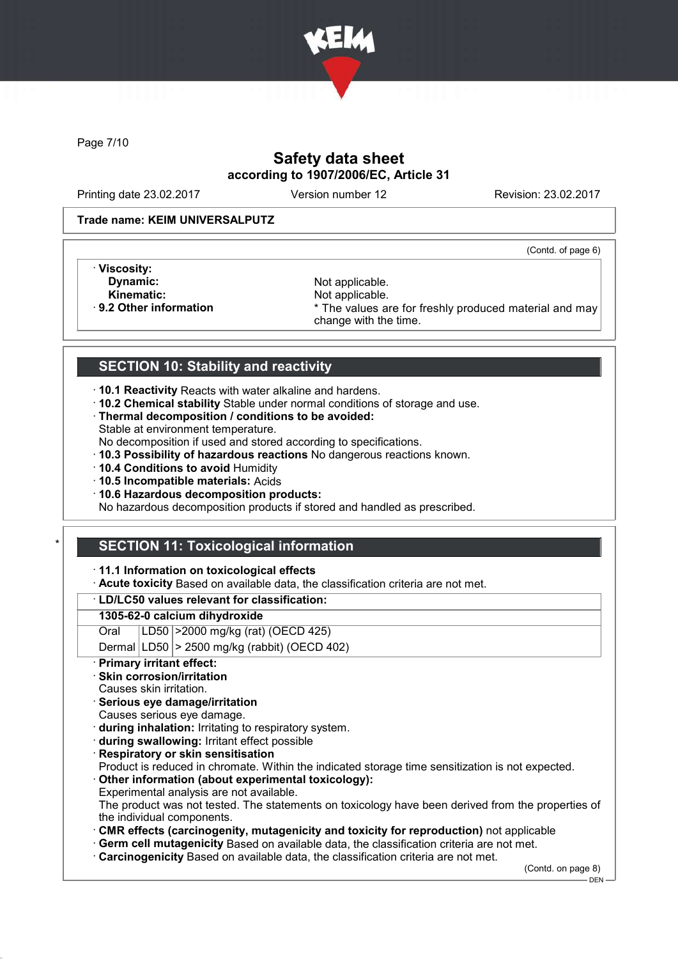

Page 7/10

# Safety data sheet according to 1907/2006/EC, Article 31

Printing date 23.02.2017 Version number 12 Revision: 23.02.2017

#### Trade name: KEIM UNIVERSALPUTZ

(Contd. of page 6)

- · Viscosity:
- Kinematic: Not applicable.<br> **Reading the Set of Allie Area Act Act Area Act Area Area Act Area Act Area Act Area Act Area Act Area Act Area Act Area Act Area Act Area Act Area Act Area Act Area Act Area Act Area Act Area A**

**Dynamic:** Not applicable.<br> **Kinematic:** Not applicable. \* The values are for freshly produced material and may change with the time.

# SECTION 10: Stability and reactivity

- · 10.1 Reactivity Reacts with water alkaline and hardens.
- · 10.2 Chemical stability Stable under normal conditions of storage and use.
- · Thermal decomposition / conditions to be avoided: Stable at environment temperature.
- No decomposition if used and stored according to specifications.
- · 10.3 Possibility of hazardous reactions No dangerous reactions known.
- · 10.4 Conditions to avoid Humidity
- · 10.5 Incompatible materials: Acids
- · 10.6 Hazardous decomposition products:

No hazardous decomposition products if stored and handled as prescribed.

# **SECTION 11: Toxicological information**

### · 11.1 Information on toxicological effects

· Acute toxicity Based on available data, the classification criteria are not met.

### · LD/LC50 values relevant for classification:

### 1305-62-0 calcium dihydroxide

Oral LD50 >2000 mg/kg (rat) (OECD 425)

Dermal  $|LD50|$  > 2500 mg/kg (rabbit) (OECD 402)

- **Primary irritant effect:**
- Skin corrosion/irritation
- Causes skin irritation.
- Serious eye damage/irritation
- Causes serious eye damage.
- · during inhalation: Irritating to respiratory system.
- · during swallowing: Irritant effect possible
- **Respiratory or skin sensitisation**

Product is reduced in chromate. Within the indicated storage time sensitization is not expected.

· Other information (about experimental toxicology): Experimental analysis are not available.

The product was not tested. The statements on toxicology have been derived from the properties of the individual components.

- · CMR effects (carcinogenity, mutagenicity and toxicity for reproduction) not applicable
- · Germ cell mutagenicity Based on available data, the classification criteria are not met.
- · Carcinogenicity Based on available data, the classification criteria are not met.

(Contd. on page 8)

 $-$  DEN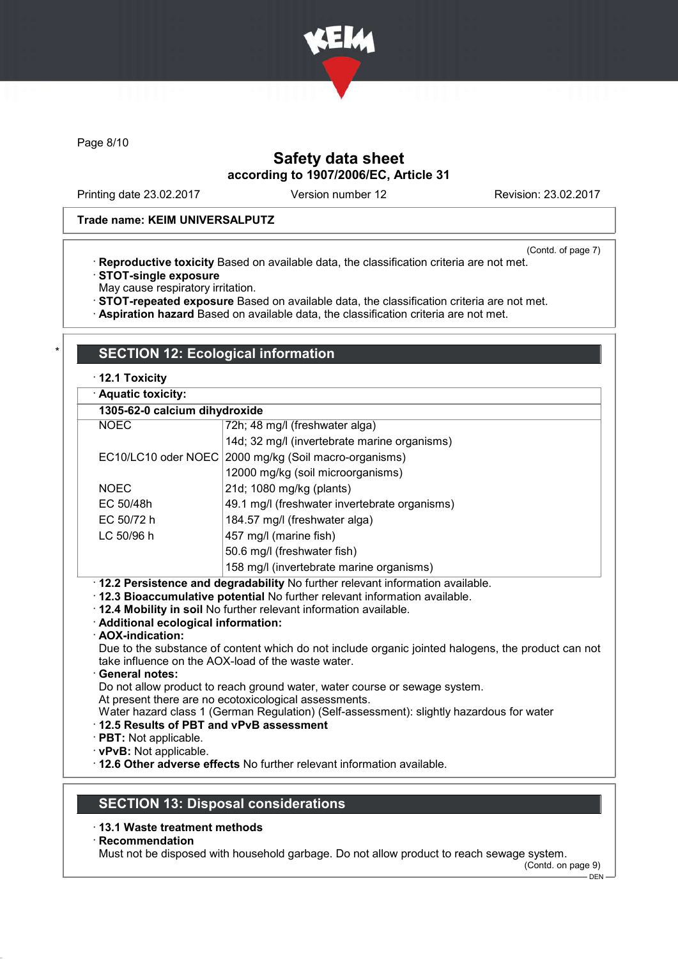

Page 8/10

# Safety data sheet according to 1907/2006/EC, Article 31

Printing date 23.02.2017 Version number 12 Revision: 23.02.2017

#### Trade name: KEIM UNIVERSALPUTZ

(Contd. of page 7)

· Reproductive toxicity Based on available data, the classification criteria are not met. · STOT-single exposure

May cause respiratory irritation.

· STOT-repeated exposure Based on available data, the classification criteria are not met.

· Aspiration hazard Based on available data, the classification criteria are not met.

### **SECTION 12: Ecological information**

#### · 12.1 Toxicity

| וטוסומטו ובו                                              |                                                                                                                                                                                                                                                                                                                                            |  |
|-----------------------------------------------------------|--------------------------------------------------------------------------------------------------------------------------------------------------------------------------------------------------------------------------------------------------------------------------------------------------------------------------------------------|--|
| · Aquatic toxicity:                                       |                                                                                                                                                                                                                                                                                                                                            |  |
| 1305-62-0 calcium dihydroxide                             |                                                                                                                                                                                                                                                                                                                                            |  |
| <b>NOEC</b>                                               | 72h; 48 mg/l (freshwater alga)                                                                                                                                                                                                                                                                                                             |  |
|                                                           | 14d; 32 mg/l (invertebrate marine organisms)                                                                                                                                                                                                                                                                                               |  |
| EC10/LC10 oder NOEC                                       | 2000 mg/kg (Soil macro-organisms)                                                                                                                                                                                                                                                                                                          |  |
|                                                           | 12000 mg/kg (soil microorganisms)                                                                                                                                                                                                                                                                                                          |  |
| <b>NOEC</b>                                               | 21d; 1080 mg/kg (plants)                                                                                                                                                                                                                                                                                                                   |  |
| EC 50/48h                                                 | 49.1 mg/l (freshwater invertebrate organisms)                                                                                                                                                                                                                                                                                              |  |
| EC 50/72 h                                                | 184.57 mg/l (freshwater alga)                                                                                                                                                                                                                                                                                                              |  |
| LC 50/96 h                                                | 457 mg/l (marine fish)                                                                                                                                                                                                                                                                                                                     |  |
|                                                           | 50.6 mg/l (freshwater fish)                                                                                                                                                                                                                                                                                                                |  |
|                                                           | 158 mg/l (invertebrate marine organisms)                                                                                                                                                                                                                                                                                                   |  |
| · Additional ecological information:<br>· AOX-indication: | · 12.2 Persistence and degradability No further relevant information available.<br>. 12.3 Bioaccumulative potential No further relevant information available.<br>. 12.4 Mobility in soil No further relevant information available.<br>Due to the substance of content which do not include organic jointed halogens, the product can not |  |
|                                                           | take influence on the AOX-load of the waste water.                                                                                                                                                                                                                                                                                         |  |

· General notes:

Do not allow product to reach ground water, water course or sewage system.

At present there are no ecotoxicological assessments.

Water hazard class 1 (German Regulation) (Self-assessment): slightly hazardous for water

### · 12.5 Results of PBT and vPvB assessment

· PBT: Not applicable.

· vPvB: Not applicable.

· 12.6 Other adverse effects No further relevant information available.

# SECTION 13: Disposal considerations

### · 13.1 Waste treatment methods

#### · Recommendation

Must not be disposed with household garbage. Do not allow product to reach sewage system.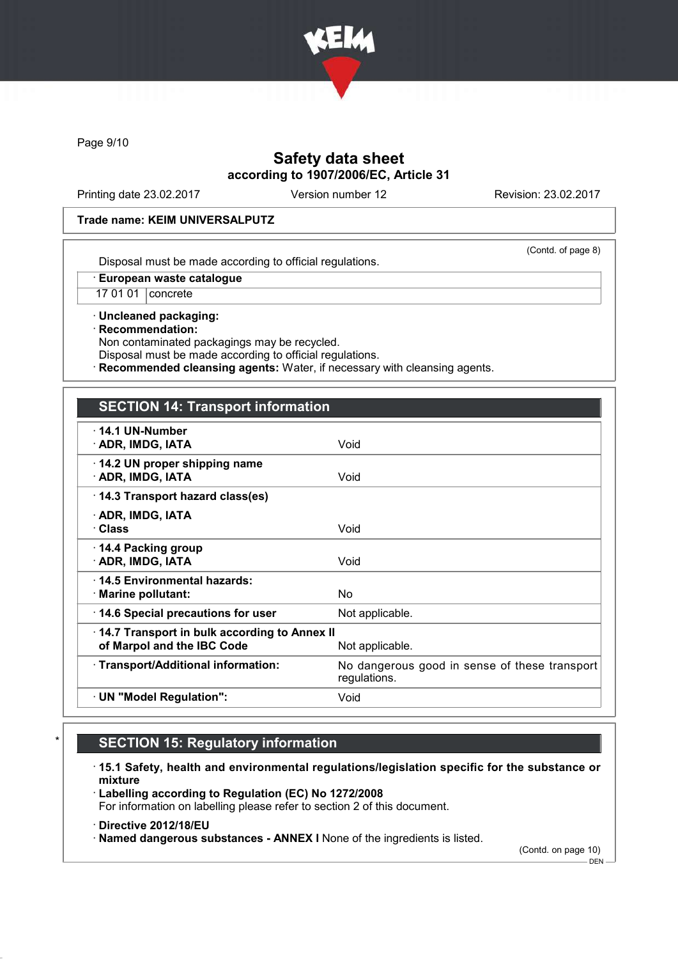

Page 9/10

# Safety data sheet according to 1907/2006/EC, Article 31

Printing date 23.02.2017 Version number 12 Revision: 23.02.2017

(Contd. of page 8)

#### Trade name: KEIM UNIVERSALPUTZ

Disposal must be made according to official regulations.

· European waste catalogue

17 01 01 concrete

· Uncleaned packaging: · Recommendation: Non contaminated packagings may be recycled.

Disposal must be made according to official regulations.

Recommended cleansing agents: Water, if necessary with cleansing agents.

### SECTION 14: Transport information

| $\cdot$ 14.1 UN-Number<br>· ADR, IMDG, IATA                                                   | Void                                                          |
|-----------------------------------------------------------------------------------------------|---------------------------------------------------------------|
| 14.2 UN proper shipping name<br>· ADR, IMDG, IATA                                             | Void                                                          |
| 14.3 Transport hazard class(es)                                                               |                                                               |
| · ADR, IMDG, IATA<br>· Class                                                                  | Void                                                          |
| 14.4 Packing group<br>· ADR, IMDG, IATA                                                       | Void                                                          |
| ⋅14.5 Environmental hazards:<br>$\cdot$ Marine pollutant:                                     | No.                                                           |
| 14.6 Special precautions for user                                                             | Not applicable.                                               |
| 14.7 Transport in bulk according to Annex II<br>of Marpol and the IBC Code<br>Not applicable. |                                                               |
| · Transport/Additional information:                                                           | No dangerous good in sense of these transport<br>regulations. |
| · UN "Model Regulation":                                                                      | Void                                                          |

# **SECTION 15: Regulatory information**

· 15.1 Safety, health and environmental regulations/legislation specific for the substance or mixture

· Labelling according to Regulation (EC) No 1272/2008 For information on labelling please refer to section 2 of this document.

· Directive 2012/18/EU

· Named dangerous substances - ANNEX I None of the ingredients is listed.

(Contd. on page 10)

 $-$  DEN